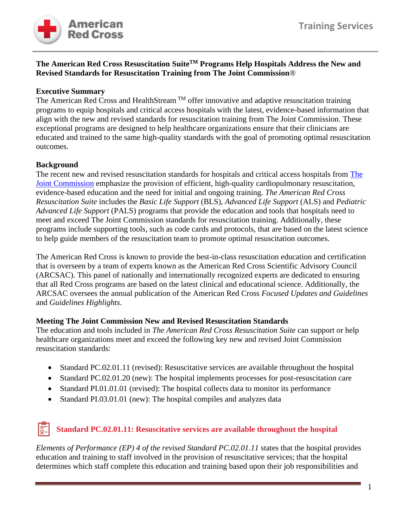

### **The American Red Cross Resuscitation SuiteTM Programs Help Hospitals Address the New and Revised Standards for Resuscitation Training from The Joint Commission**®

## **Executive Summary**

The American Red Cross and HealthStream  $TM$  offer innovative and adaptive resuscitation training programs to equip hospitals and critical access hospitals with the latest, evidence-based information that align with the new and revised standards for resuscitation training from The Joint Commission. These exceptional programs are designed to help healthcare organizations ensure that their clinicians are educated and trained to the same high-quality standards with the goal of promoting optimal resuscitation outcomes.

## **Background**

The recent new and revised resuscitation standards for hospitals and critical access hospitals from [The](https://www.jointcommission.org/-/media/tjc/documents/standards/r3-reports/r3-report_resuscitation_hap_final_.pdf)  [Joint Commission](https://www.jointcommission.org/-/media/tjc/documents/standards/r3-reports/r3-report_resuscitation_hap_final_.pdf) emphasize the provision of efficient, high-quality cardiopulmonary resuscitation, evidence-based education and the need for initial and ongoing training. *The American Red Cross Resuscitation Suite* includes the *Basic Life Support* (BLS), *Advanced Life Support* (ALS) and *Pediatric Advanced Life Support* (PALS) programs that provide the education and tools that hospitals need to meet and exceed The Joint Commission standards for resuscitation training. Additionally, these programs include supporting tools, such as code cards and protocols, that are based on the latest science to help guide members of the resuscitation team to promote optimal resuscitation outcomes.

The American Red Cross is known to provide the best-in-class resuscitation education and certification that is overseen by a team of experts known as the American Red Cross Scientific Advisory Council (ARCSAC). This panel of nationally and internationally recognized experts are dedicated to ensuring that all Red Cross programs are based on the latest clinical and educational science. Additionally, the ARCSAC oversees the annual publication of the American Red Cross *Focused Updates and Guidelines* and *Guidelines Highlights*.

### **Meeting The Joint Commission New and Revised Resuscitation Standards**

The education and tools included in *The American Red Cross Resuscitation Suite* can support or help healthcare organizations meet and exceed the following key new and revised Joint Commission resuscitation standards:

- Standard PC.02.01.11 (revised): Resuscitative services are available throughout the hospital
- Standard PC.02.01.20 (new): The hospital implements processes for post-resuscitation care
- Standard PI.01.01.01 (revised): The hospital collects data to monitor its performance
- Standard PI.03.01.01 (new): The hospital compiles and analyzes data

#### |ਛੁ **Standard PC.02.01.11: Resuscitative services are available throughout the hospital**

*Elements of Performance (EP) 4 of the revised Standard PC.02.01.11* states that the hospital provides education and training to staff involved in the provision of resuscitative services; that the hospital determines which staff complete this education and training based upon their job responsibilities and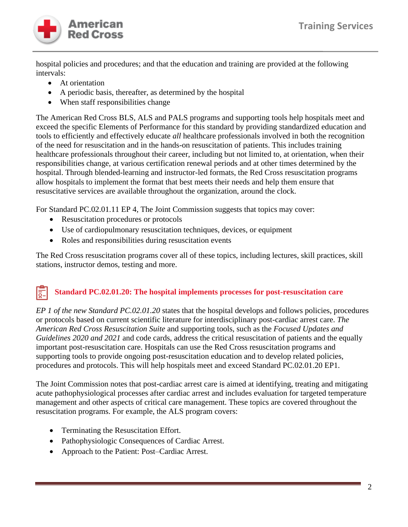

hospital policies and procedures; and that the education and training are provided at the following intervals:

- At orientation
- A periodic basis, thereafter, as determined by the hospital
- When staff responsibilities change

The American Red Cross BLS, ALS and PALS programs and supporting tools help hospitals meet and exceed the specific Elements of Performance for this standard by providing standardized education and tools to efficiently and effectively educate *all* healthcare professionals involved in both the recognition of the need for resuscitation and in the hands-on resuscitation of patients. This includes training healthcare professionals throughout their career, including but not limited to, at orientation, when their responsibilities change, at various certification renewal periods and at other times determined by the hospital. Through blended-learning and instructor-led formats, the Red Cross resuscitation programs allow hospitals to implement the format that best meets their needs and help them ensure that resuscitative services are available throughout the organization, around the clock.

For Standard PC.02.01.11 EP 4, The Joint Commission suggests that topics may cover:

- Resuscitation procedures or protocols
- Use of cardiopulmonary resuscitation techniques, devices, or equipment
- Roles and responsibilities during resuscitation events

The Red Cross resuscitation programs cover all of these topics, including lectures, skill practices, skill stations, instructor demos, testing and more.

#### **Standard PC.02.01.20: The hospital implements processes for post-resuscitation care**  l<u>៑−</u>

*EP 1 of the new Standard PC.02.01.20* states that the hospital develops and follows policies, procedures or protocols based on current scientific literature for interdisciplinary post-cardiac arrest care. *The American Red Cross Resuscitation Suite* and supporting tools, such as the *Focused Updates and Guidelines 2020 and 2021* and code cards, address the critical resuscitation of patients and the equally important post-resuscitation care. Hospitals can use the Red Cross resuscitation programs and supporting tools to provide ongoing post-resuscitation education and to develop related policies, procedures and protocols. This will help hospitals meet and exceed Standard PC.02.01.20 EP1.

The Joint Commission notes that post-cardiac arrest care is aimed at identifying, treating and mitigating acute pathophysiological processes after cardiac arrest and includes evaluation for targeted temperature management and other aspects of critical care management. These topics are covered throughout the resuscitation programs. For example, the ALS program covers:

- Terminating the Resuscitation Effort.
- Pathophysiologic Consequences of Cardiac Arrest.
- Approach to the Patient: Post–Cardiac Arrest.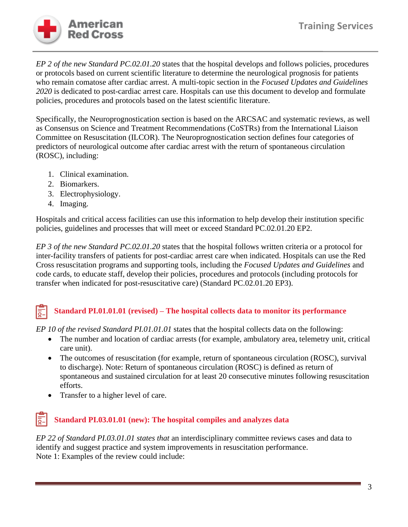

*EP 2 of the new Standard PC.02.01.20* states that the hospital develops and follows policies, procedures or protocols based on current scientific literature to determine the neurological prognosis for patients who remain comatose after cardiac arrest. A multi-topic section in the *Focused Updates and Guidelines 2020* is dedicated to post-cardiac arrest care. Hospitals can use this document to develop and formulate policies, procedures and protocols based on the latest scientific literature.

Specifically, the Neuroprognostication section is based on the ARCSAC and systematic reviews, as well as Consensus on Science and Treatment Recommendations (CoSTRs) from the International Liaison Committee on Resuscitation (ILCOR). The Neuroprognostication section defines four categories of predictors of neurological outcome after cardiac arrest with the return of spontaneous circulation (ROSC), including:

- 1. Clinical examination.
- 2. Biomarkers.
- 3. Electrophysiology.
- 4. Imaging.

Hospitals and critical access facilities can use this information to help develop their institution specific policies, guidelines and processes that will meet or exceed Standard PC.02.01.20 EP2.

*EP 3 of the new Standard PC.02.01.20* states that the hospital follows written criteria or a protocol for inter-facility transfers of patients for post-cardiac arrest care when indicated. Hospitals can use the Red Cross resuscitation programs and supporting tools, including the *Focused Updates and Guidelines* and code cards, to educate staff, develop their policies, procedures and protocols (including protocols for transfer when indicated for post-resuscitative care) (Standard PC.02.01.20 EP3).

### **Standard PI.01.01.01 (revised) – The hospital collects data to monitor its performance** lō-

*EP 10 of the revised Standard PI.01.01.01* states that the hospital collects data on the following:

- The number and location of cardiac arrests (for example, ambulatory area, telemetry unit, critical care unit).
- The outcomes of resuscitation (for example, return of spontaneous circulation (ROSC), survival to discharge). Note: Return of spontaneous circulation (ROSC) is defined as return of spontaneous and sustained circulation for at least 20 consecutive minutes following resuscitation efforts.
- Transfer to a higher level of care.

# **Standard PI.03.01.01 (new): The hospital compiles and analyzes data**

*EP 22 of Standard PI.03.01.01 states that* an interdisciplinary committee reviews cases and data to identify and suggest practice and system improvements in resuscitation performance. Note 1: Examples of the review could include: